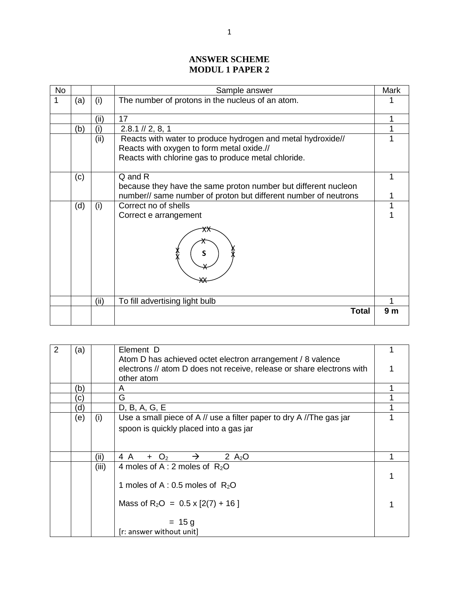## **ANSWER SCHEME MODUL 1 PAPER 2**

| <b>No</b> |     |      | Sample answer                                                   | <b>Mark</b>    |
|-----------|-----|------|-----------------------------------------------------------------|----------------|
| 1         | (a) | (i)  | The number of protons in the nucleus of an atom.                |                |
|           |     | (ii) | 17                                                              |                |
|           | (b) | (i)  | $2.8.1 \mid \mid 2, 8, 1 \mid$                                  |                |
|           |     | (ii) | Reacts with water to produce hydrogen and metal hydroxide//     |                |
|           |     |      | Reacts with oxygen to form metal oxide.//                       |                |
|           |     |      | Reacts with chlorine gas to produce metal chloride.             |                |
|           | (c) |      | Q and R                                                         |                |
|           |     |      | because they have the same proton number but different nucleon  |                |
|           |     |      | number// same number of proton but different number of neutrons |                |
|           | (d) | (i)  | Correct no of shells                                            |                |
|           |     |      | Correct e arrangement                                           |                |
|           |     |      | S                                                               |                |
|           |     | (ii) | To fill advertising light bulb                                  |                |
|           |     |      | <b>Total</b>                                                    | 9 <sub>m</sub> |

| 2 | (a)           |       | Element D                                                             |  |
|---|---------------|-------|-----------------------------------------------------------------------|--|
|   |               |       | Atom D has achieved octet electron arrangement / 8 valence            |  |
|   |               |       | electrons // atom D does not receive, release or share electrons with |  |
|   |               |       | other atom                                                            |  |
|   | (b)           |       | A                                                                     |  |
|   | $\mathsf{C})$ |       | G                                                                     |  |
|   | (d            |       | D, B, A, G, E                                                         |  |
|   | (e)           | (i)   | Use a small piece of A // use a filter paper to dry A //The gas jar   |  |
|   |               |       | spoon is quickly placed into a gas jar                                |  |
|   |               |       |                                                                       |  |
|   |               |       |                                                                       |  |
|   |               | (ii)  | 4 A<br>2 $A_2O$<br>$+$ O <sub>2</sub>                                 |  |
|   |               | (iii) | 4 moles of A : 2 moles of $R_2O$                                      |  |
|   |               |       |                                                                       |  |
|   |               |       | 1 moles of A : 0.5 moles of $R_2O$                                    |  |
|   |               |       |                                                                       |  |
|   |               |       | Mass of $R_2O = 0.5 \times [2(7) + 16]$                               |  |
|   |               |       |                                                                       |  |
|   |               |       | $= 15 g$                                                              |  |
|   |               |       | [r: answer without unit]                                              |  |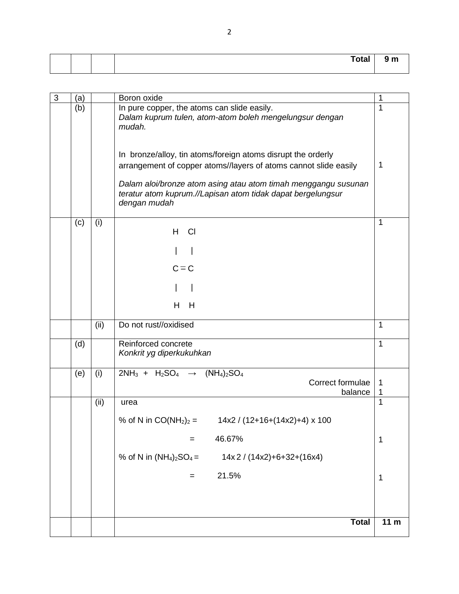|  |  | . <del>.</del><br>i otal | . |
|--|--|--------------------------|---|
|  |  |                          |   |

| $\mathfrak{3}$ | (a) |      | Boron oxide                                                                                                                                                                                        | 1               |
|----------------|-----|------|----------------------------------------------------------------------------------------------------------------------------------------------------------------------------------------------------|-----------------|
|                | (b) |      | In pure copper, the atoms can slide easily.<br>Dalam kuprum tulen, atom-atom boleh mengelungsur dengan<br>mudah.                                                                                   | 1               |
|                |     |      | In bronze/alloy, tin atoms/foreign atoms disrupt the orderly<br>arrangement of copper atoms//layers of atoms cannot slide easily<br>Dalam aloi/bronze atom asing atau atom timah menggangu susunan | 1               |
|                |     |      | teratur atom kuprum.//Lapisan atom tidak dapat bergelungsur<br>dengan mudah                                                                                                                        |                 |
|                | (c) | (i)  | H<br>CI                                                                                                                                                                                            | 1               |
|                |     |      |                                                                                                                                                                                                    |                 |
|                |     |      | $C = C$                                                                                                                                                                                            |                 |
|                |     |      |                                                                                                                                                                                                    |                 |
|                |     |      | Н<br>H                                                                                                                                                                                             |                 |
|                |     | (ii) | Do not rust//oxidised                                                                                                                                                                              | 1               |
|                |     |      |                                                                                                                                                                                                    |                 |
|                | (d) |      | Reinforced concrete<br>Konkrit yg diperkukuhkan                                                                                                                                                    | 1               |
|                | (e) | (i)  | $2NH_3 + H_2SO_4 \rightarrow$<br>$(NH_4)_2SO_4$<br>Correct formulae<br>balance                                                                                                                     | 1<br>1          |
|                |     | (ii) | urea                                                                                                                                                                                               | 1               |
|                |     |      | % of N in $CO(NH_2)_2 =$<br>$14x2 / (12+16+(14x2)+4) \times 100$                                                                                                                                   |                 |
|                |     |      | 46.67%                                                                                                                                                                                             | 1               |
|                |     |      | % of N in $(NH_4)_2SO_4 =$<br>$14x2 / (14x2) + 6 + 32 + (16x4)$                                                                                                                                    |                 |
|                |     |      | 21.5%<br>$=$                                                                                                                                                                                       | 1               |
|                |     |      |                                                                                                                                                                                                    |                 |
|                |     |      |                                                                                                                                                                                                    |                 |
|                |     |      | <b>Total</b>                                                                                                                                                                                       | 11 <sub>m</sub> |
|                |     |      |                                                                                                                                                                                                    |                 |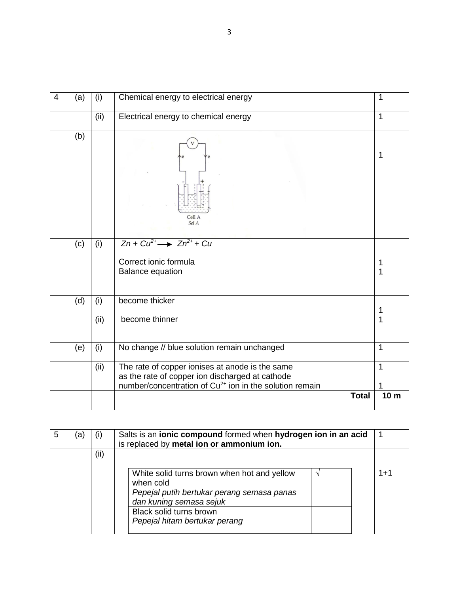| 4 | (a) | (i)         | Chemical energy to electrical energy                                                                                                                                      | 1               |
|---|-----|-------------|---------------------------------------------------------------------------------------------------------------------------------------------------------------------------|-----------------|
|   |     | (ii)        | Electrical energy to chemical energy                                                                                                                                      | 1               |
|   | (b) |             | Cell A<br>Sel A                                                                                                                                                           | 1               |
|   | (c) | (i)         | $Zn + Cu^{2+} \longrightarrow Zn^{2+} + Cu$<br>Correct ionic formula<br><b>Balance equation</b>                                                                           | 1<br>1          |
|   | (d) | (i)<br>(ii) | become thicker<br>become thinner                                                                                                                                          | 1<br>1          |
|   | (e) | (i)         | No change // blue solution remain unchanged                                                                                                                               | $\mathbf{1}$    |
|   |     | (ii)        | The rate of copper ionises at anode is the same<br>as the rate of copper ion discharged at cathode<br>number/concentration of Cu <sup>2+</sup> ion in the solution remain | $\mathbf{1}$    |
|   |     |             | <b>Total</b>                                                                                                                                                              | 10 <sub>m</sub> |

| 5 | a) | (i) | Salts is an ionic compound formed when hydrogen ion in an acid<br>is replaced by metal ion or ammonium ion.                                                                                   |         |
|---|----|-----|-----------------------------------------------------------------------------------------------------------------------------------------------------------------------------------------------|---------|
|   |    | (i) | White solid turns brown when hot and yellow<br>when cold<br>Pepejal putih bertukar perang semasa panas<br>dan kuning semasa sejuk<br>Black solid turns brown<br>Pepejal hitam bertukar perang | $1 + 1$ |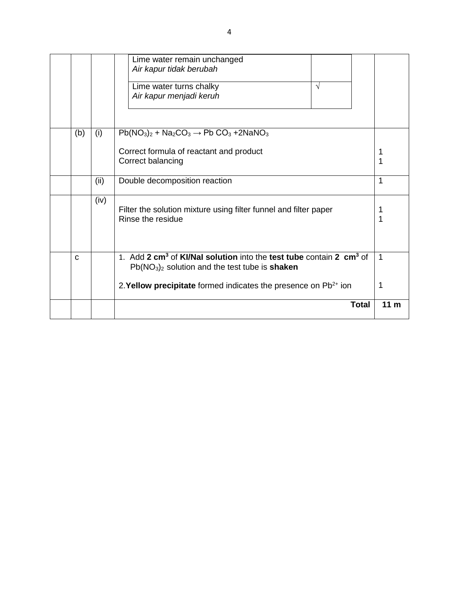|             |      | Lime water remain unchanged<br>Air kapur tidak berubah                                                                                                       |                 |
|-------------|------|--------------------------------------------------------------------------------------------------------------------------------------------------------------|-----------------|
|             |      | Lime water turns chalky<br>V<br>Air kapur menjadi keruh                                                                                                      |                 |
| (b)         | (i)  | $Pb(NO3)2 + Na2CO3 \rightarrow Pb CO3 +2NANO3$                                                                                                               |                 |
|             |      | Correct formula of reactant and product<br>Correct balancing                                                                                                 | 1<br>1          |
|             | (ii) | Double decomposition reaction                                                                                                                                | 1               |
|             | (iv) | Filter the solution mixture using filter funnel and filter paper<br>Rinse the residue                                                                        | 1               |
| $\mathbf C$ |      | 1. Add 2 cm <sup>3</sup> of <b>KI/Nal solution</b> into the test tube contain 2 cm <sup>3</sup> of<br>$Pb(NO3)2$ solution and the test tube is <b>shaken</b> | $\mathbf 1$     |
|             |      | 2. <b>Yellow precipitate</b> formed indicates the presence on $Pb^{2+}$ ion                                                                                  | 1               |
|             |      | <b>Total</b>                                                                                                                                                 | 11 <sub>m</sub> |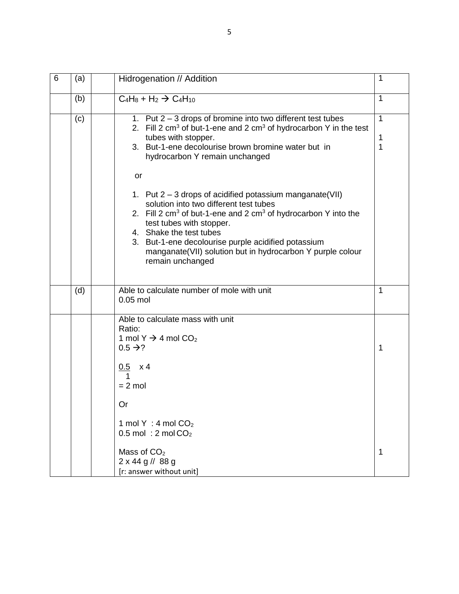| 6 | (a) | Hidrogenation // Addition                                                                                                                                                                                                                                                                                                                                                         | 1                      |
|---|-----|-----------------------------------------------------------------------------------------------------------------------------------------------------------------------------------------------------------------------------------------------------------------------------------------------------------------------------------------------------------------------------------|------------------------|
|   | (b) | $C_4H_8 + H_2 \rightarrow C_4H_{10}$                                                                                                                                                                                                                                                                                                                                              | 1                      |
|   | (c) | 1. Put 2 - 3 drops of bromine into two different test tubes<br>2. Fill 2 $cm3$ of but-1-ene and 2 $cm3$ of hydrocarbon Y in the test<br>tubes with stopper.<br>3. But-1-ene decolourise brown bromine water but in<br>hydrocarbon Y remain unchanged                                                                                                                              | $\mathbf{1}$<br>1<br>1 |
|   |     | or<br>1. Put $2 - 3$ drops of acidified potassium manganate (VII)<br>solution into two different test tubes<br>2. Fill 2 $cm3$ of but-1-ene and 2 $cm3$ of hydrocarbon Y into the<br>test tubes with stopper.<br>4. Shake the test tubes<br>3. But-1-ene decolourise purple acidified potassium<br>manganate(VII) solution but in hydrocarbon Y purple colour<br>remain unchanged |                        |
|   | (d) | Able to calculate number of mole with unit<br>$0.05$ mol                                                                                                                                                                                                                                                                                                                          | 1                      |
|   |     | Able to calculate mass with unit<br>Ratio:<br>1 mol Y $\rightarrow$ 4 mol CO <sub>2</sub><br>$0.5 \rightarrow ?$<br>$0.5\,$<br>x 4                                                                                                                                                                                                                                                | 1                      |
|   |     | $= 2$ mol<br>Or                                                                                                                                                                                                                                                                                                                                                                   |                        |
|   |     | 1 mol Y : 4 mol $CO2$<br>$0.5$ mol: 2 mol $CO2$                                                                                                                                                                                                                                                                                                                                   |                        |
|   |     | Mass of $CO2$<br>$2 \times 44$ g // 88 g<br>[r: answer without unit]                                                                                                                                                                                                                                                                                                              | 1                      |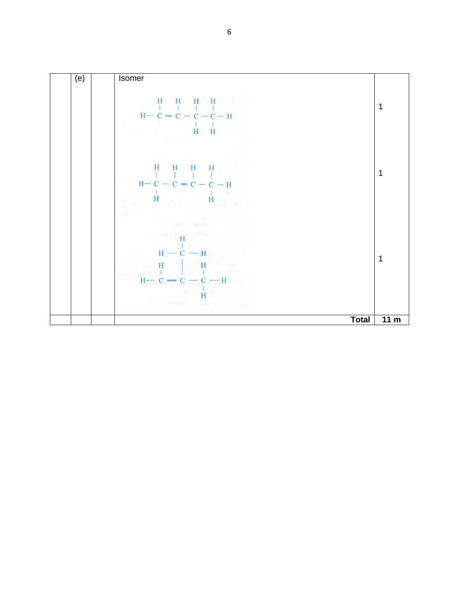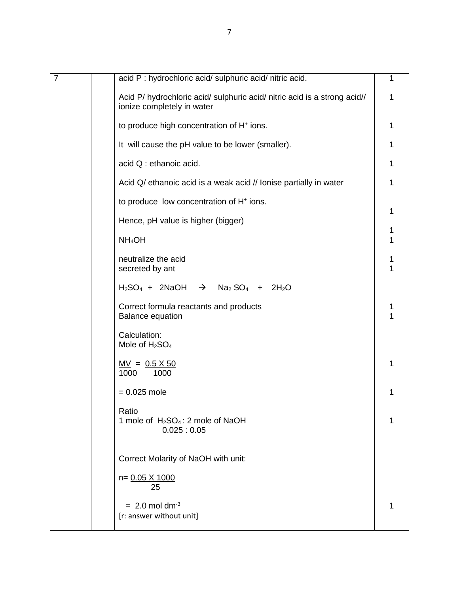| $\overline{7}$ | acid P : hydrochloric acid/ sulphuric acid/ nitric acid.                                                | 1 |
|----------------|---------------------------------------------------------------------------------------------------------|---|
|                | Acid P/ hydrochloric acid/ sulphuric acid/ nitric acid is a strong acid//<br>ionize completely in water | 1 |
|                | to produce high concentration of H <sup>+</sup> ions.                                                   | 1 |
|                | It will cause the pH value to be lower (smaller).                                                       | 1 |
|                | acid Q : ethanoic acid.                                                                                 | 1 |
|                | Acid Q/ ethanoic acid is a weak acid // Ionise partially in water                                       | 1 |
|                | to produce low concentration of H <sup>+</sup> ions.                                                    | 1 |
|                | Hence, pH value is higher (bigger)                                                                      | 1 |
|                | NH <sub>4</sub> OH                                                                                      |   |
|                | neutralize the acid<br>secreted by ant                                                                  |   |
|                |                                                                                                         |   |
|                | $H_2SO_4$ + 2NaOH $\rightarrow$ Na <sub>2</sub> SO <sub>4</sub> + 2H <sub>2</sub> O                     |   |
|                | Correct formula reactants and products<br><b>Balance equation</b>                                       |   |
|                | Calculation:<br>Mole of $H2SO4$                                                                         |   |
|                | $MV = 0.5 X 50$<br>1000<br>1000                                                                         |   |
|                | $= 0.025$ mole                                                                                          | 1 |
|                | Ratio<br>1 mole of H <sub>2</sub> SO <sub>4</sub> : 2 mole of NaOH<br>0.025:0.05                        | 1 |
|                | Correct Molarity of NaOH with unit:                                                                     |   |
|                | n= 0.05 X 1000<br>25                                                                                    |   |
|                | $= 2.0$ mol dm <sup>-3</sup><br>[r: answer without unit]                                                | 1 |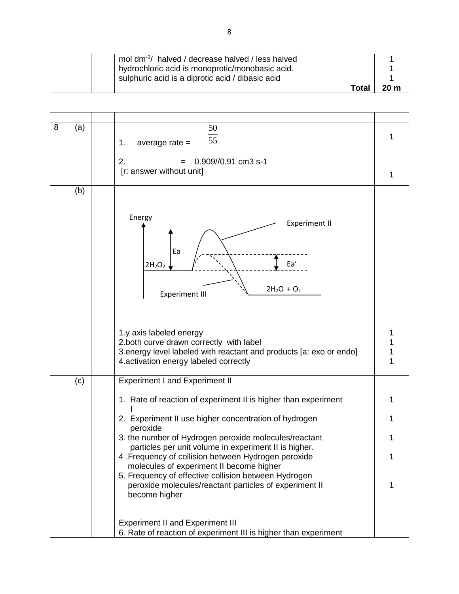|  | mol dm <sup>-3</sup> / halved / decrease halved / less halved                                       |                 |
|--|-----------------------------------------------------------------------------------------------------|-----------------|
|  | hydrochloric acid is monoprotic/monobasic acid.<br>sulphuric acid is a diprotic acid / dibasic acid |                 |
|  | Total                                                                                               | 20 <sub>m</sub> |

| 8 | (a) | 50                                                                                                             |   |
|---|-----|----------------------------------------------------------------------------------------------------------------|---|
|   |     | 55<br>average $rate =$<br>1.                                                                                   | 1 |
|   |     |                                                                                                                |   |
|   |     | 2.<br>0.909//0.91 cm3 s-1                                                                                      |   |
|   |     | [r: answer without unit]                                                                                       | 1 |
|   | (b) |                                                                                                                |   |
|   |     |                                                                                                                |   |
|   |     | Energy                                                                                                         |   |
|   |     | <b>Experiment II</b>                                                                                           |   |
|   |     |                                                                                                                |   |
|   |     | Ea                                                                                                             |   |
|   |     | Ea'<br>$2H_2O_2$                                                                                               |   |
|   |     |                                                                                                                |   |
|   |     | $2H_2O + O_2$                                                                                                  |   |
|   |     | <b>Experiment III</b>                                                                                          |   |
|   |     |                                                                                                                |   |
|   |     |                                                                                                                |   |
|   |     | 1.y axis labeled energy                                                                                        |   |
|   |     | 2.both curve drawn correctly with label                                                                        |   |
|   |     | 3. energy level labeled with reactant and products [a: exo or endo]<br>4. activation energy labeled correctly  | 1 |
|   |     |                                                                                                                |   |
|   | (c) | <b>Experiment I and Experiment II</b>                                                                          |   |
|   |     | 1. Rate of reaction of experiment II is higher than experiment                                                 | 1 |
|   |     |                                                                                                                |   |
|   |     | 2. Experiment II use higher concentration of hydrogen                                                          |   |
|   |     | peroxide                                                                                                       |   |
|   |     | 3. the number of Hydrogen peroxide molecules/reactant<br>particles per unit volume in experiment II is higher. | 1 |
|   |     | 4 .Frequency of collision between Hydrogen peroxide                                                            | 1 |
|   |     | molecules of experiment II become higher                                                                       |   |
|   |     | 5. Frequency of effective collision between Hydrogen                                                           |   |
|   |     | peroxide molecules/reactant particles of experiment II<br>become higher                                        |   |
|   |     |                                                                                                                |   |
|   |     |                                                                                                                |   |
|   |     | <b>Experiment II and Experiment III</b>                                                                        |   |
|   |     | 6. Rate of reaction of experiment III is higher than experiment                                                |   |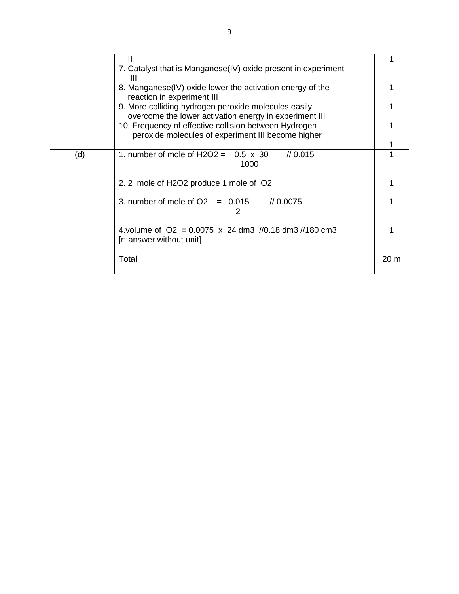|     | 7. Catalyst that is Manganese(IV) oxide present in experiment |                 |
|-----|---------------------------------------------------------------|-----------------|
|     | Ш                                                             |                 |
|     | 8. Manganese(IV) oxide lower the activation energy of the     |                 |
|     | reaction in experiment III                                    |                 |
|     | 9. More colliding hydrogen peroxide molecules easily          |                 |
|     | overcome the lower activation energy in experiment III        |                 |
|     | 10. Frequency of effective collision between Hydrogen         |                 |
|     | peroxide molecules of experiment III become higher            |                 |
|     |                                                               |                 |
| (d) | 1. number of mole of H2O2 = $0.5 \times 30$<br>/ 0.015        |                 |
|     | 1000                                                          |                 |
|     |                                                               |                 |
|     | 2. 2 mole of H2O2 produce 1 mole of O2                        |                 |
|     |                                                               |                 |
|     | 3. number of mole of $O2 = 0.015$ // 0.0075                   |                 |
|     | 2                                                             |                 |
|     |                                                               |                 |
|     | 4.volume of $Q2 = 0.0075 \times 24$ dm3 //0.18 dm3 //180 cm3  |                 |
|     | [r: answer without unit]                                      |                 |
|     |                                                               |                 |
|     | Total                                                         | 20 <sub>m</sub> |
|     |                                                               |                 |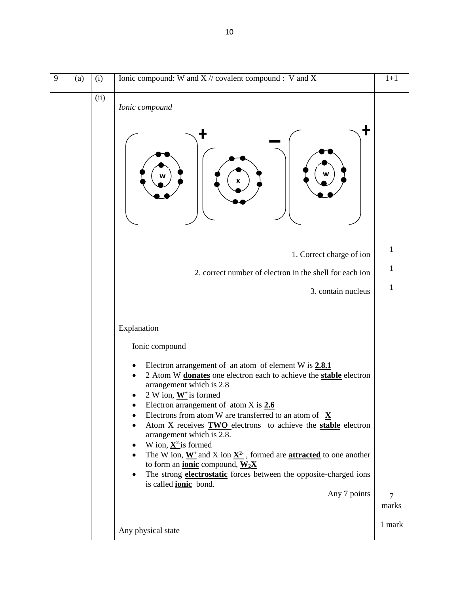| 9 | (a) | (i)  | Ionic compound: W and $X$ // covalent compound : V and X                                                                                                                                                                                                                                                                                                                                                                                                                                                                                                                                                                                                                                                                                                                | $1+1$           |
|---|-----|------|-------------------------------------------------------------------------------------------------------------------------------------------------------------------------------------------------------------------------------------------------------------------------------------------------------------------------------------------------------------------------------------------------------------------------------------------------------------------------------------------------------------------------------------------------------------------------------------------------------------------------------------------------------------------------------------------------------------------------------------------------------------------------|-----------------|
|   |     | (ii) | Ionic compound<br>1. Correct charge of ion                                                                                                                                                                                                                                                                                                                                                                                                                                                                                                                                                                                                                                                                                                                              | 1               |
|   |     |      | 2. correct number of electron in the shell for each ion                                                                                                                                                                                                                                                                                                                                                                                                                                                                                                                                                                                                                                                                                                                 | 1               |
|   |     |      | 3. contain nucleus                                                                                                                                                                                                                                                                                                                                                                                                                                                                                                                                                                                                                                                                                                                                                      | $\mathbf{1}$    |
|   |     |      | Explanation<br>Ionic compound<br>Electron arrangement of an atom of element W is $2.8.1$<br>2 Atom W donates one electron each to achieve the stable electron<br>arrangement which is 2.8<br>2 W ion, $W^+$ is formed<br>Electron arrangement of atom $X$ is $2.6$<br>Electrons from atom W are transferred to an atom of $X$<br>٠<br>Atom X receives <b>TWO</b> electrons to achieve the <b>stable</b> electron<br>arrangement which is 2.8.<br>W ion, $\underline{\mathbf{X}^2}$ is formed<br>٠<br>The W ion, $W^+$ and X ion $X^2$ , formed are <b>attracted</b> to one another<br>$\bullet$<br>to form an <i>ionic</i> compound, $W_2X$<br>The strong <b>electrostatic</b> forces between the opposite-charged ions<br>is called <b>ionic</b> bond.<br>Any 7 points | $\tau$<br>marks |
|   |     |      | Any physical state                                                                                                                                                                                                                                                                                                                                                                                                                                                                                                                                                                                                                                                                                                                                                      | 1 mark          |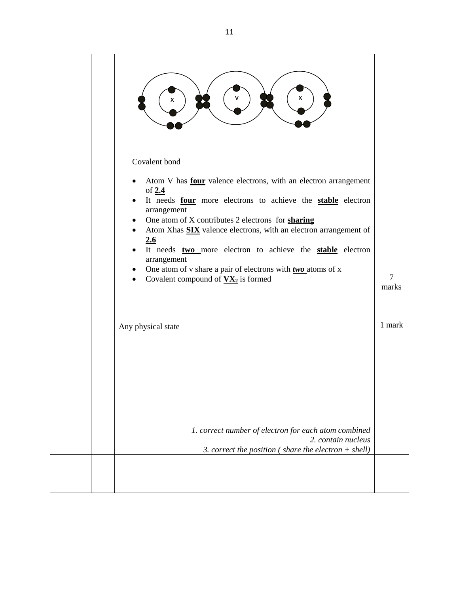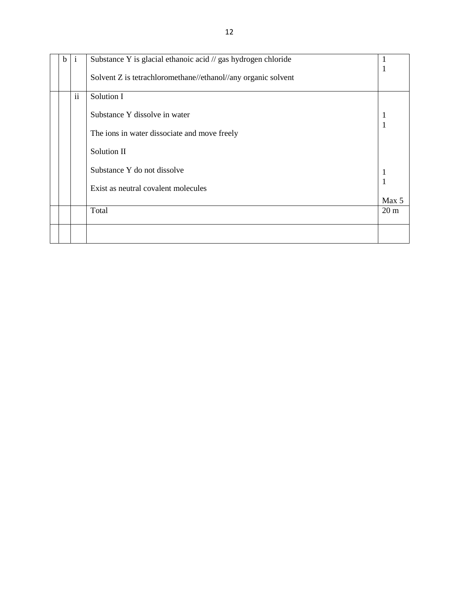| $\mathbf b$ | 1        | Substance Y is glacial ethanoic acid // gas hydrogen chloride |                 |
|-------------|----------|---------------------------------------------------------------|-----------------|
|             |          | Solvent Z is tetrachloromethane//ethanol//any organic solvent |                 |
|             | $\rm ii$ | Solution I                                                    |                 |
|             |          | Substance Y dissolve in water                                 | 1               |
|             |          | The ions in water dissociate and move freely                  |                 |
|             |          | Solution II                                                   |                 |
|             |          | Substance Y do not dissolve                                   |                 |
|             |          | Exist as neutral covalent molecules                           | Max 5           |
|             |          | Total                                                         | 20 <sub>m</sub> |
|             |          |                                                               |                 |
|             |          |                                                               |                 |